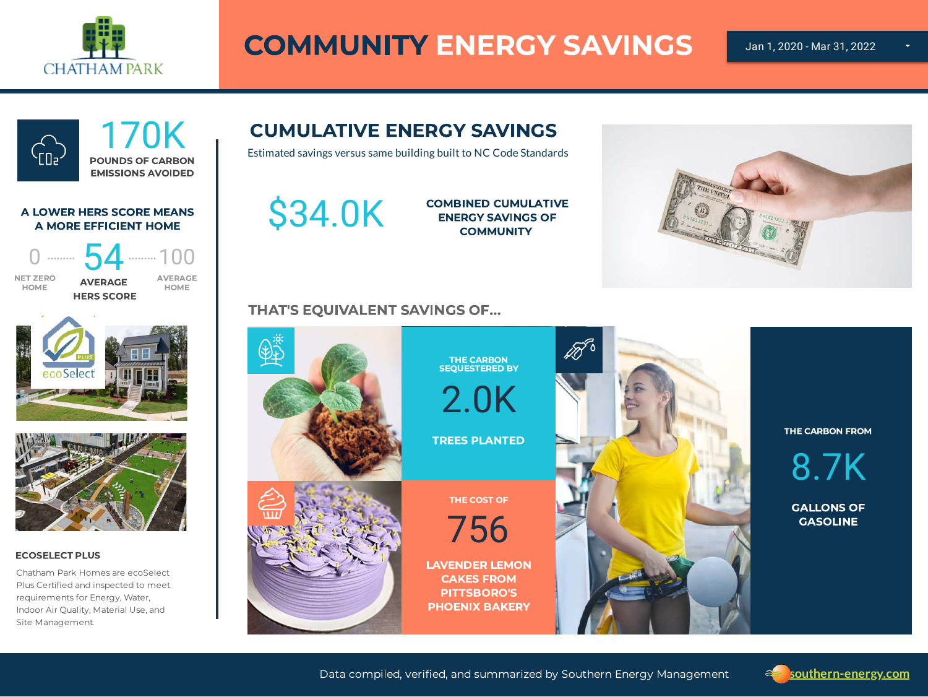

# COMMUNITY ENERGY SAVINGS



# CUMULATIVE ENERGY SAVINGS

Estimated savings versus same building built to NC Code Standards

\$34.0K

COMBINED CUMULATIVE ENERGY SAVINGS OF **COMMUNITY** 

### THAT'S EQUIVALENT SAVINGS OF...



THE CARBON FROM

8.7K

GALLONS OF GASOLINE